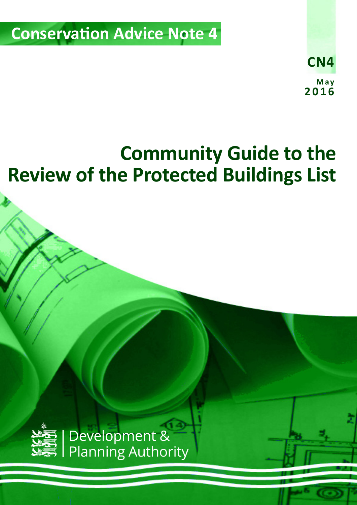**Conservation Advice Note 4** 



# **Community Guide to the Review of the Protected Buildings List**

*Community Guide to the Protected Buildings Review v2 (May 2016)* 1

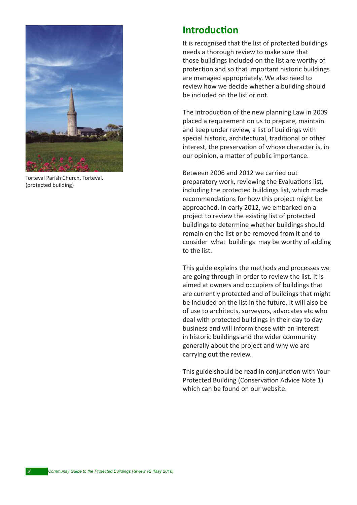

Torteval Parish Church, Torteval. (protected building)

### **Introduction**

It is recognised that the list of protected buildings needs a thorough review to make sure that those buildings included on the list are worthy of protection and so that important historic buildings are managed appropriately. We also need to review how we decide whether a building should be included on the list or not.

The introduction of the new planning Law in 2009 placed a requirement on us to prepare, maintain and keep under review, a list of buildings with special historic, architectural, traditional or other interest, the preservation of whose character is, in our opinion, a matter of public importance.

Between 2006 and 2012 we carried out preparatory work, reviewing the Evaluations list, including the protected buildings list, which made recommendations for how this project might be approached. In early 2012, we embarked on a project to review the existing list of protected buildings to determine whether buildings should remain on the list or be removed from it and to consider what buildings may be worthy of adding to the list.

This guide explains the methods and processes we are going through in order to review the list. It is aimed at owners and occupiers of buildings that are currently protected and of buildings that might be included on the list in the future. It will also be of use to architects, surveyors, advocates etc who deal with protected buildings in their day to day business and will inform those with an interest in historic buildings and the wider community generally about the project and why we are carrying out the review.

This guide should be read in conjunction with Your Protected Building (Conservation Advice Note 1) which can be found on our website.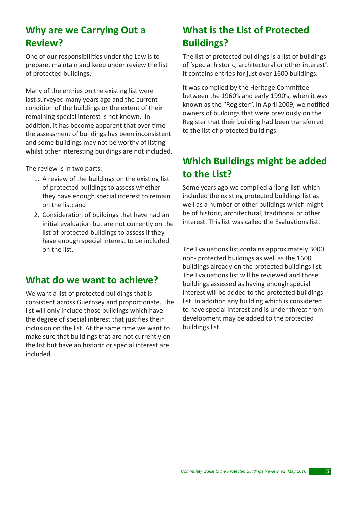## **Why are we Carrying Out a Review?**

One of our responsibilities under the Law is to prepare, maintain and keep under review the list of protected buildings.

Many of the entries on the existing list were last surveyed many years ago and the current condition of the buildings or the extent of their remaining special interest is not known. In addition, it has become apparent that over time the assessment of buildings has been inconsistent and some buildings may not be worthy of listing whilst other interesting buildings are not included.

The review is in two parts:

- 1. A review of the buildings on the existing list of protected buildings to assess whether they have enough special interest to remain on the list: and
- 2. Consideration of buildings that have had an initial evaluation but are not currently on the list of protected buildings to assess if they have enough special interest to be included on the list.

### **What do we want to achieve?**

We want a list of protected buildings that is consistent across Guernsey and proportionate. The list will only include those buildings which have the degree of special interest that justifies their inclusion on the list. At the same time we want to make sure that buildings that are not currently on the list but have an historic or special interest are included.

# **What is the List of Protected Buildings?**

The list of protected buildings is a list of buildings of 'special historic, architectural or other interest'. It contains entries for just over 1600 buildings.

It was compiled by the Heritage Committee between the 1960's and early 1990's, when it was known as the "Register". In April 2009, we notified owners of buildings that were previously on the Register that their building had been transferred to the list of protected buildings.

# **Which Buildings might be added to the List?**

Some years ago we compiled a 'long-list' which included the existing protected buildings list as well as a number of other buildings which might be of historic, architectural, traditional or other interest. This list was called the Evaluations list.

The Evaluations list contains approximately 3000 non- protected buildings as well as the 1600 buildings already on the protected buildings list. The Evaluations list will be reviewed and those buildings assessed as having enough special interest will be added to the protected buildings list. In addition any building which is considered to have special interest and is under threat from development may be added to the protected buildings list.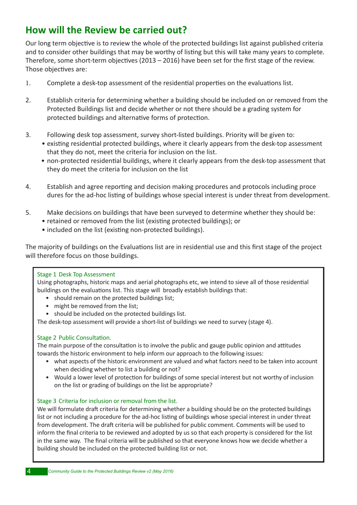## **How will the Review be carried out?**

Our long term objective is to review the whole of the protected buildings list against published criteria and to consider other buildings that may be worthy of listing but this will take many years to complete. Therefore, some short-term objectives (2013 – 2016) have been set for the first stage of the review. Those objectives are:

- 1. Complete a desk-top assessment of the residential properties on the evaluations list.
- 2. Establish criteria for determining whether a building should be included on or removed from the Protected Buildings list and decide whether or not there should be a grading system for protected buildings and alternative forms of protection.
- 3. Following desk top assessment, survey short-listed buildings. Priority will be given to:
	- existing residential protected buildings, where it clearly appears from the desk-top assessment that they do not, meet the criteria for inclusion on the list.
	- non-protected residential buildings, where it clearly appears from the desk-top assessment that they do meet the criteria for inclusion on the list
- 4. Establish and agree reporting and decision making procedures and protocols including proce dures for the ad-hoc listing of buildings whose special interest is under threat from development.
- 5. Make decisions on buildings that have been surveyed to determine whether they should be:
	- retained or removed from the list (existing protected buildings); or
		- included on the list (existing non-protected buildings).

The majority of buildings on the Evaluations list are in residential use and this first stage of the project will therefore focus on those buildings.

#### Stage 1 Desk Top Assessment

Using photographs, historic maps and aerial photographs etc, we intend to sieve all of those residential buildings on the evaluations list. This stage will broadly establish buildings that:

- should remain on the protected buildings list;
- might be removed from the list:
- should be included on the protected buildings list.

The desk-top assessment will provide a short-list of buildings we need to survey (stage 4).

#### Stage 2 Public Consultation.

The main purpose of the consultation is to involve the public and gauge public opinion and attitudes towards the historic environment to help inform our approach to the following issues:

- what aspects of the historic environment are valued and what factors need to be taken into account when deciding whether to list a building or not?
- Would a lower level of protection for buildings of some special interest but not worthy of inclusion on the list or grading of buildings on the list be appropriate?

#### Stage 3 Criteria for inclusion or removal from the list.

We will formulate draft criteria for determining whether a building should be on the protected buildings list or not including a procedure for the ad-hoc listing of buildings whose special interest in under threat from development. The draft criteria will be published for public comment. Comments will be used to inform the final criteria to be reviewed and adopted by us so that each property is considered for the list in the same way. The final criteria will be published so that everyone knows how we decide whether a building should be included on the protected building list or not.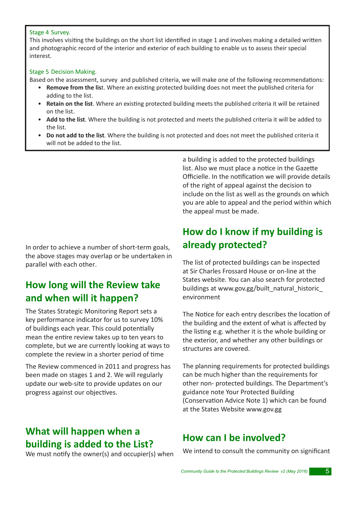#### Stage 4 Survey.

This involves visiting the buildings on the short list identified in stage 1 and involves making a detailed written and photographic record of the interior and exterior of each building to enable us to assess their special interest.

#### Stage 5 Decision Making.

Based on the assessment, survey and published criteria, we will make one of the following recommendations:

- **Remove from the lis**t. Where an existing protected building does not meet the published criteria for adding to the list.
- **Retain on the list**. Where an existing protected building meets the published criteria it will be retained on the list.
- **Add to the list**. Where the building is not protected and meets the published criteria it will be added to the list.
- **Do not add to the list**. Where the building is not protected and does not meet the published criteria it will not be added to the list.

In order to achieve a number of short-term goals, the above stages may overlap or be undertaken in parallel with each other.

### **How long will the Review take and when will it happen?**

The States Strategic Monitoring Report sets a key performance indicator for us to survey 10% of buildings each year. This could potentially mean the entire review takes up to ten years to complete, but we are currently looking at ways to complete the review in a shorter period of time

The Review commenced in 2011 and progress has been made on stages 1 and 2. We will regularly update our web-site to provide updates on our progress against our objectives.

### **What will happen when a building is added to the List?**

We must notify the owner(s) and occupier(s) when

a building is added to the protected buildings list. Also we must place a notice in the Gazette Officielle. In the notification we will provide details of the right of appeal against the decision to include on the list as well as the grounds on which you are able to appeal and the period within which the appeal must be made.

### **How do I know if my building is already protected?**

The list of protected buildings can be inspected at Sir Charles Frossard House or on-line at the States website. You can also search for protected buildings at www.gov.gg/built\_natural\_historic environment

The Notice for each entry describes the location of the building and the extent of what is affected by the listing e.g. whether it is the whole building or the exterior, and whether any other buildings or structures are covered.

The planning requirements for protected buildings can be much higher than the requirements for other non- protected buildings. The Department's guidance note Your Protected Building (Conservation Advice Note 1) which can be found at the States Website www.gov.gg

### **How can I be involved?**

We intend to consult the community on significant